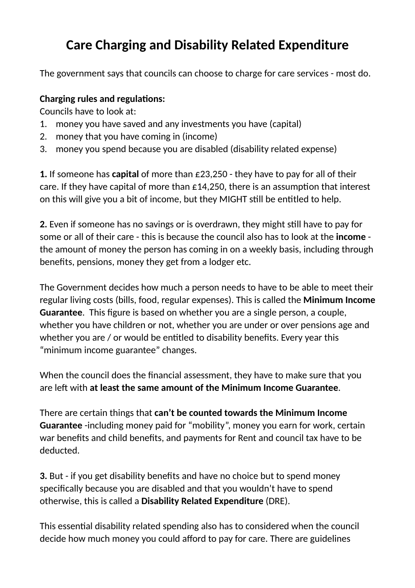# **Care Charging and Disability Related Expenditure**

The government says that councils can choose to charge for care services - most do.

#### **Charging rules and regulations:**

Councils have to look at:

- 1. money you have saved and any investments you have (capital)
- 2. money that you have coming in (income)
- 3. money you spend because you are disabled (disability related expense)

**1.** If someone has **capital** of more than £23,250 - they have to pay for all of their care. If they have capital of more than  $E14,250$ , there is an assumption that interest on this will give you a bit of income, but they MIGHT still be entitled to help.

**2.** Even if someone has no savings or is overdrawn, they might still have to pay for some or all of their care - this is because the council also has to look at the **income**  the amount of money the person has coming in on a weekly basis, including through benefits, pensions, money they get from a lodger etc.

The Government decides how much a person needs to have to be able to meet their regular living costs (bills, food, regular expenses). This is called the **Minimum Income Guarantee**. This figure is based on whether you are a single person, a couple, whether you have children or not, whether you are under or over pensions age and whether you are / or would be entitled to disability benefits. Every year this "minimum income guarantee" changes.

When the council does the financial assessment, they have to make sure that you are left with at least the same amount of the Minimum Income Guarantee.

There are certain things that **can't be counted towards the Minimum Income Guarantee** -including money paid for "mobility", money you earn for work, certain war benefits and child benefits, and payments for Rent and council tax have to be deducted.

**3.** But - if you get disability benefits and have no choice but to spend money specifically because you are disabled and that you wouldn't have to spend otherwise, this is called a **Disability Related Expenditure** (DRE).

This essential disability related spending also has to considered when the council decide how much money you could afford to pay for care. There are guidelines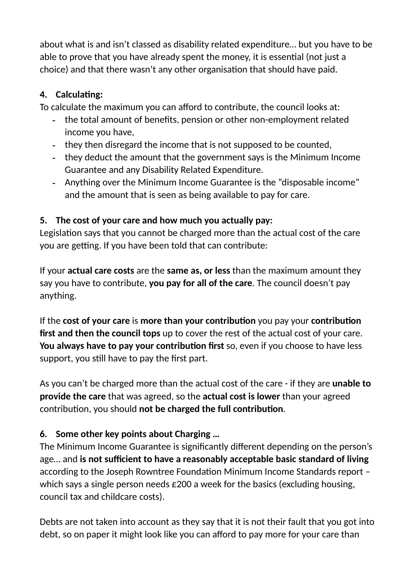about what is and isn't classed as disability related expenditure… but you have to be able to prove that you have already spent the money, it is essential (not just a choice) and that there wasn't any other organisation that should have paid.

## **4. Calcula6ng:**

To calculate the maximum you can afford to contribute, the council looks at:

- the total amount of benefits, pension or other non-employment related income you have,
- they then disregard the income that is not supposed to be counted,
- they deduct the amount that the government says is the Minimum Income Guarantee and any Disability Related Expenditure.
- Anything over the Minimum Income Guarantee is the "disposable income" and the amount that is seen as being available to pay for care.

## **5. The cost of your care and how much you actually pay:**

Legislation says that you cannot be charged more than the actual cost of the care you are getting. If you have been told that can contribute:

If your **actual care costs** are the **same as, or less** than the maximum amount they say you have to contribute, **you pay for all of the care**. The council doesn't pay anything.

If the **cost of your care** is **more than your contribution** you pay your **contribution first and then the council tops** up to cover the rest of the actual cost of your care. **You always have to pay your contribution first** so, even if you choose to have less support, you still have to pay the first part.

As you can't be charged more than the actual cost of the care - if they are **unable to provide the care** that was agreed, so the **actual cost is lower** than your agreed contribution, you should **not be charged the full contribution**.

## **6. Some other key points about Charging …**

The Minimum Income Guarantee is significantly different depending on the person's age… and **is not sufficient to have a reasonably acceptable basic standard of living**  according to the Joseph Rowntree Foundation Minimum Income Standards report which says a single person needs £200 a week for the basics (excluding housing, council tax and childcare costs).

Debts are not taken into account as they say that it is not their fault that you got into debt, so on paper it might look like you can afford to pay more for your care than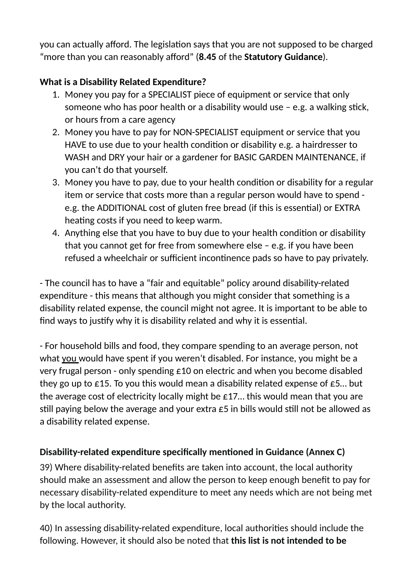you can actually afford. The legislation says that you are not supposed to be charged "more than you can reasonably afford" (**8.45** of the **Statutory Guidance**).

## **What is a Disability Related Expenditure?**

- 1. Money you pay for a SPECIALIST piece of equipment or service that only someone who has poor health or a disability would use  $-$  e.g. a walking stick, or hours from a care agency
- 2. Money you have to pay for NON-SPECIALIST equipment or service that you HAVE to use due to your health condition or disability e.g. a hairdresser to WASH and DRY your hair or a gardener for BASIC GARDEN MAINTENANCE, if you can't do that yourself.
- 3. Money you have to pay, due to your health condition or disability for a regular item or service that costs more than a regular person would have to spend e.g. the ADDITIONAL cost of gluten free bread (if this is essential) or EXTRA heating costs if you need to keep warm.
- 4. Anything else that you have to buy due to your health condition or disability that you cannot get for free from somewhere else – e.g. if you have been refused a wheelchair or sufficient incontinence pads so have to pay privately.

- The council has to have a "fair and equitable" policy around disability-related expenditure - this means that although you might consider that something is a disability related expense, the council might not agree. It is important to be able to find ways to justify why it is disability related and why it is essential.

- For household bills and food, they compare spending to an average person, not what you would have spent if you weren't disabled. For instance, you might be a very frugal person - only spending £10 on electric and when you become disabled they go up to £15. To you this would mean a disability related expense of £5... but the average cost of electricity locally might be £17… this would mean that you are still paying below the average and your extra  $E_5$  in bills would still not be allowed as a disability related expense.

#### **Disability-related expenditure specifically mentioned in Guidance (Annex C)**

39) Where disability-related benefits are taken into account, the local authority should make an assessment and allow the person to keep enough benefit to pay for necessary disability-related expenditure to meet any needs which are not being met by the local authority.

40) In assessing disability-related expenditure, local authorities should include the following. However, it should also be noted that **this list is not intended to be**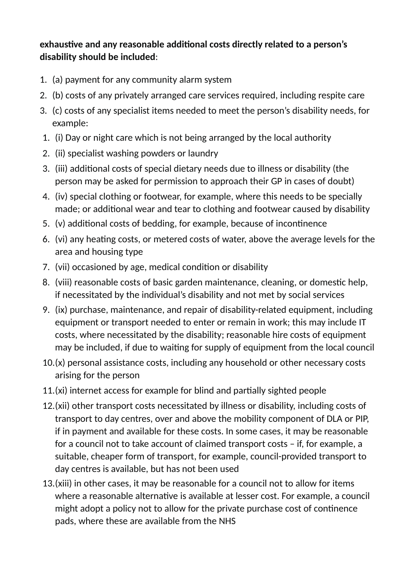## **exhaustive and any reasonable additional costs directly related to a person's disability should be included**:

- 1. (a) payment for any community alarm system
- 2. (b) costs of any privately arranged care services required, including respite care
- 3. (c) costs of any specialist items needed to meet the person's disability needs, for example:
- 1. (i) Day or night care which is not being arranged by the local authority
- 2. (ii) specialist washing powders or laundry
- 3. (iii) additional costs of special dietary needs due to illness or disability (the person may be asked for permission to approach their GP in cases of doubt)
- 4. (iv) special clothing or footwear, for example, where this needs to be specially made; or additional wear and tear to clothing and footwear caused by disability
- 5. (v) additional costs of bedding, for example, because of incontinence
- 6. (vi) any heating costs, or metered costs of water, above the average levels for the area and housing type
- 7. (vii) occasioned by age, medical condition or disability
- 8. (viii) reasonable costs of basic garden maintenance, cleaning, or domestic help, if necessitated by the individual's disability and not met by social services
- 9. (ix) purchase, maintenance, and repair of disability-related equipment, including equipment or transport needed to enter or remain in work; this may include IT costs, where necessitated by the disability; reasonable hire costs of equipment may be included, if due to waiting for supply of equipment from the local council
- 10.(x) personal assistance costs, including any household or other necessary costs arising for the person
- $11.(x)$  internet access for example for blind and partially sighted people
- 12.(xii) other transport costs necessitated by illness or disability, including costs of transport to day centres, over and above the mobility component of DLA or PIP, if in payment and available for these costs. In some cases, it may be reasonable for a council not to take account of claimed transport costs – if, for example, a suitable, cheaper form of transport, for example, council-provided transport to day centres is available, but has not been used
- 13.(xiii) in other cases, it may be reasonable for a council not to allow for items where a reasonable alternative is available at lesser cost. For example, a council might adopt a policy not to allow for the private purchase cost of continence pads, where these are available from the NHS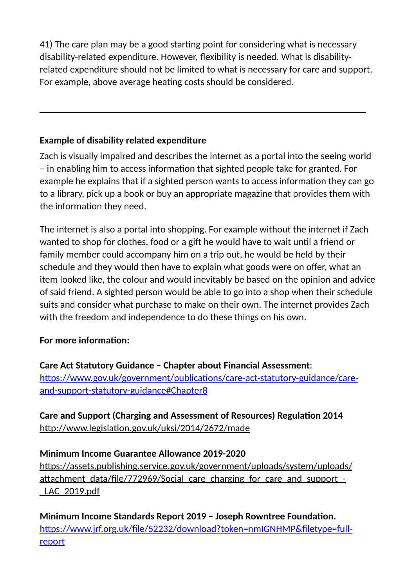41) The care plan may be a good starting point for considering what is necessary disability-related expenditure. However, flexibility is needed. What is disabilityrelated expenditure should not be limited to what is necessary for care and support. For example, above average heating costs should be considered.

## **Example of disability related expenditure**

Zach is visually impaired and describes the internet as a portal into the seeing world – in enabling him to access information that sighted people take for granted. For example he explains that if a sighted person wants to access information they can go to a library, pick up a book or buy an appropriate magazine that provides them with the information they need.

The internet is also a portal into shopping. For example without the internet if Zach wanted to shop for clothes, food or a gift he would have to wait until a friend or family member could accompany him on a trip out, he would be held by their schedule and they would then have to explain what goods were on offer, what an item looked like, the colour and would inevitably be based on the opinion and advice of said friend. A sighted person would be able to go into a shop when their schedule suits and consider what purchase to make on their own. The internet provides Zach with the freedom and independence to do these things on his own.

#### For more information:

**Care Act Statutory Guidance – Chapter about Financial Assessment**: https://www.gov.uk/government/publications/care-act-statutory-guidance/care[and-support-statutory-guidance#Chapter8](https://www.gov.uk/government/publications/care-act-statutory-guidance/care-and-support-statutory-guidance%23Chapter8)

## **Care and Support (Charging and Assessment of Resources) Regulation 2014** http://www.legislation.gov.uk/uksi/2014/2672/made

#### **Minimum Income Guarantee Allowance 2019-2020**

https://assets.publishing.service.gov.uk/government/uploads/system/uploads/ attachment data/file/772969/Social care charging for care and support -[\\_LAC\\_2019.pdf](https://assets.publishing.service.gov.uk/government/uploads/system/uploads/attachment_data/file/772969/Social_care_charging_for_care_and_support_-_LAC_2019.pdf)

**Minimum Income Standards Report 2019 - Joseph Rowntree Foundation.** https://www.irf.org.uk/file/52232/download?token=nmIGNHMP&filetype=full[report](https://www.jrf.org.uk/file/52232/download?token=nmIGNHMP&filetype=full-report)